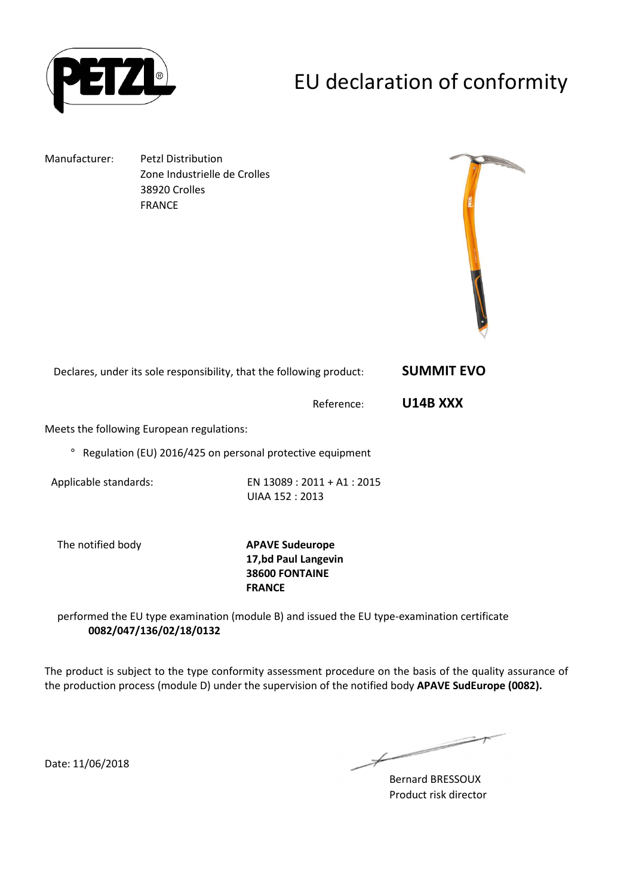

# EU declaration of conformity

Manufacturer: Petzl Distribution Zone Industrielle de Crolles 38920 Crolles FRANCE



Declares, under its sole responsibility, that the following product: **SUMMIT EVO** 

Reference: **U14B XXX** 

Meets the following European regulations:

° Regulation (EU) 2016/425 on personal protective equipment

Applicable standards: EN 13089 : 2011 + A1 : 2015 UIAA 152 : 2013

The notified body **APAVE Sudeurope 17,bd Paul Langevin 38600 FONTAINE FRANCE**

performed the EU type examination (module B) and issued the EU type-examination certificate **0082/047/136/02/18/0132**

The product is subject to the type conformity assessment procedure on the basis of the quality assurance of the production process (module D) under the supervision of the notified body **APAVE SudEurope (0082).**

Date: 11/06/2018

 $\overline{\phantom{a}}$ 

Bernard BRESSOUX Product risk director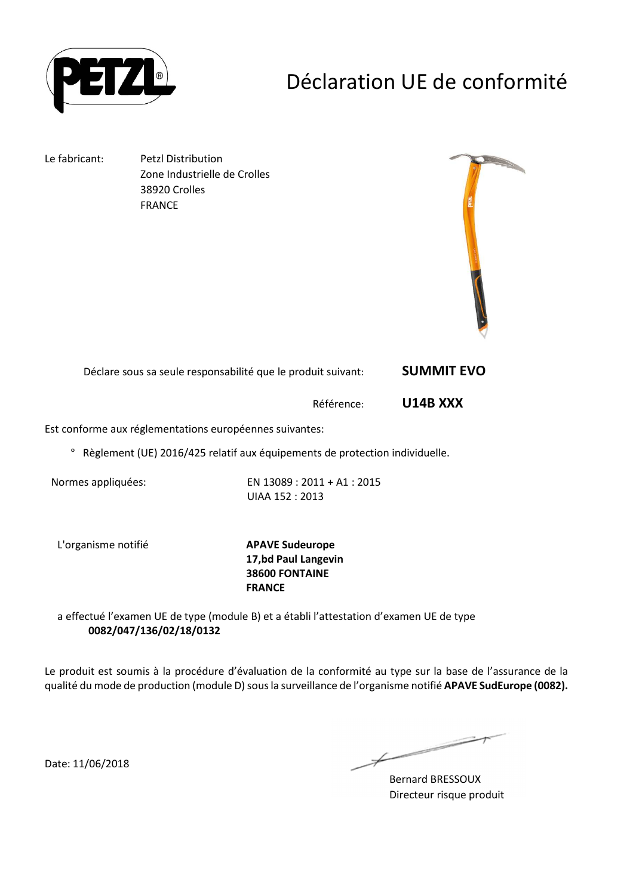

### Déclaration UE de conformité

Le fabricant: Petzl Distribution Zone Industrielle de Crolles 38920 Crolles FRANCE



| Déclare sous sa seule responsabilité que le produit suivant: | <b>SUMMIT EVO</b> |
|--------------------------------------------------------------|-------------------|
|--------------------------------------------------------------|-------------------|

Référence: **U14B XXX** 

Est conforme aux réglementations européennes suivantes:

° Règlement (UE) 2016/425 relatif aux équipements de protection individuelle.

Normes appliquées: EN 13089 : 2011 + A1 : 2015 UIAA 152 : 2013

L'organisme notifié **APAVE Sudeurope**

**17,bd Paul Langevin 38600 FONTAINE FRANCE**

a effectué l'examen UE de type (module B) et a établi l'attestation d'examen UE de type **0082/047/136/02/18/0132**

Le produit est soumis à la procédure d'évaluation de la conformité au type sur la base de l'assurance de la qualité du mode de production (module D) sous la surveillance de l'organisme notifié **APAVE SudEurope (0082).**

Date: 11/06/2018

Bernard BRESSOUX Directeur risque produit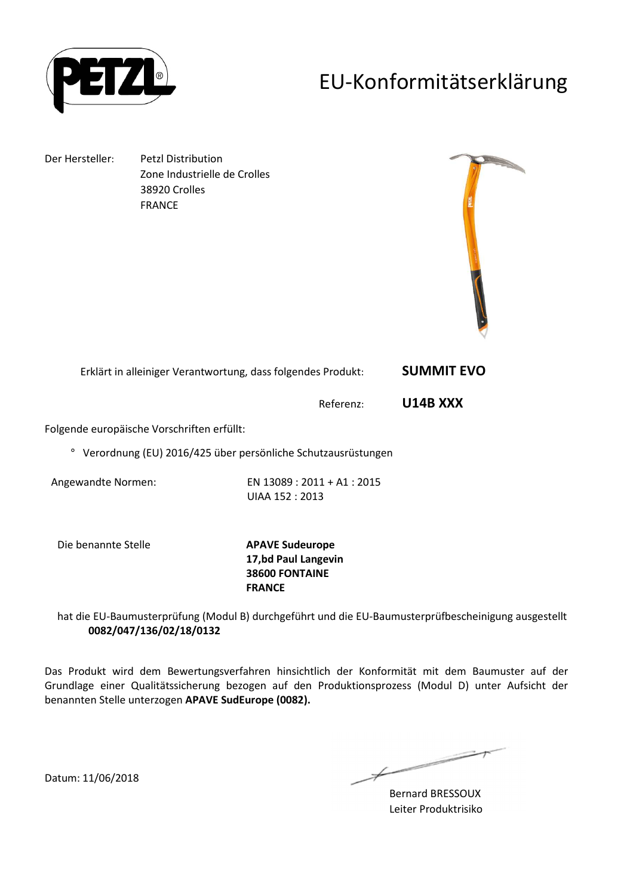

### EU-Konformitätserklärung

Der Hersteller: Petzl Distribution Zone Industrielle de Crolles 38920 Crolles FRANCE



| Erklärt in alleiniger Verantwortung, dass folgendes Produkt: | <b>SUMMIT EVO</b> |
|--------------------------------------------------------------|-------------------|
|--------------------------------------------------------------|-------------------|

Referenz: **U14B XXX** 

Folgende europäische Vorschriften erfüllt:

° Verordnung (EU) 2016/425 über persönliche Schutzausrüstungen

Angewandte Normen: EN 13089 : 2011 + A1 : 2015 UIAA 152 : 2013

Die benannte Stelle **APAVE Sudeurope**

**17,bd Paul Langevin 38600 FONTAINE FRANCE**

hat die EU-Baumusterprüfung (Modul B) durchgeführt und die EU-Baumusterprüfbescheinigung ausgestellt **0082/047/136/02/18/0132**

Das Produkt wird dem Bewertungsverfahren hinsichtlich der Konformität mit dem Baumuster auf der Grundlage einer Qualitätssicherung bezogen auf den Produktionsprozess (Modul D) unter Aufsicht der benannten Stelle unterzogen **APAVE SudEurope (0082).**

 $\overline{\phantom{a}}$ and the same of the contract of the contract of the contract of the contract of the contract of the contract of the contract of the contract of the contract of the contract of the contract of the contract of the contract o  $\not\!\!\!/-$ 

Bernard BRESSOUX Leiter Produktrisiko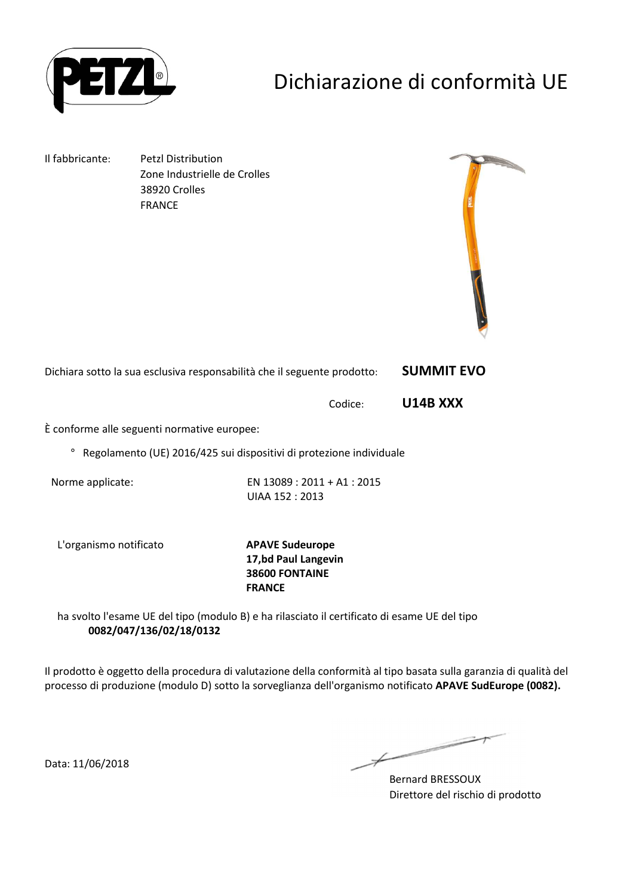

# Dichiarazione di conformità UE

Il fabbricante: Petzl Distribution Zone Industrielle de Crolles 38920 Crolles FRANCE



Dichiara sotto la sua esclusiva responsabilità che il seguente prodotto: **SUMMIT EVO** 

Codice: **U14B XXX** 

È conforme alle seguenti normative europee:

° Regolamento (UE) 2016/425 sui dispositivi di protezione individuale

Norme applicate: EN 13089 : 2011 + A1 : 2015 UIAA 152 : 2013

L'organismo notificato **APAVE Sudeurope**

**17,bd Paul Langevin 38600 FONTAINE FRANCE**

ha svolto l'esame UE del tipo (modulo B) e ha rilasciato il certificato di esame UE del tipo **0082/047/136/02/18/0132**

Il prodotto è oggetto della procedura di valutazione della conformità al tipo basata sulla garanzia di qualità del processo di produzione (modulo D) sotto la sorveglianza dell'organismo notificato **APAVE SudEurope (0082).**

Data: 11/06/2018

Bernard BRESSOUX Direttore del rischio di prodotto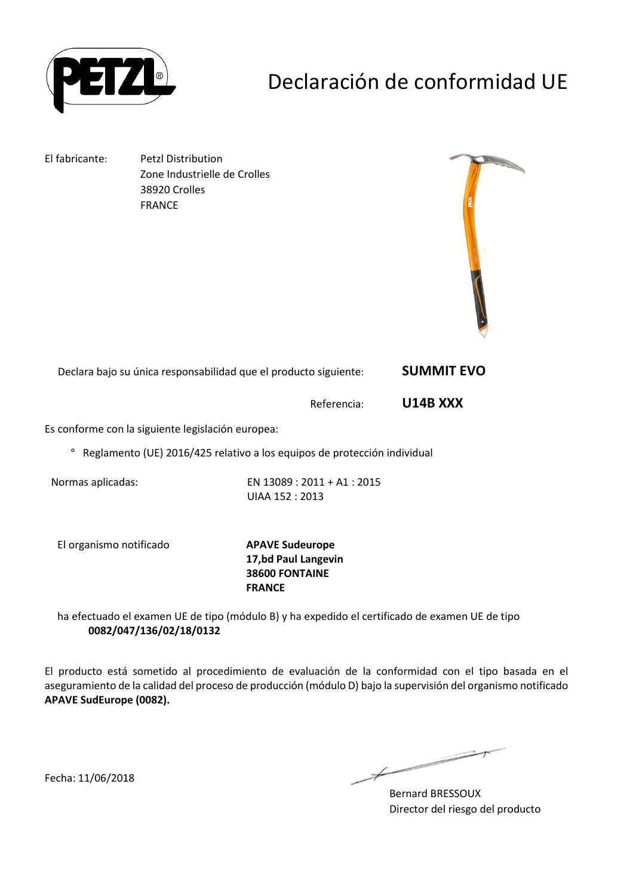

## Declaración de conformidad UE

El fabricante: Petzl Distribution Zone Industrielle de Crolles 38920 Crolles FRANCE



Declara bajo su única responsabilidad que el producto siguiente: **SUMMIT EVO** 

Referencia: **U14B XXX** 

Es conforme con la siguiente legislación europea:

° Reglamento (UE) 2016/425 relativo a los equipos de protección individual

Normas aplicadas: EN 13089 : 2011 + A1 : 2015 UIAA 152 : 2013

El organismo notificado **APAVE Sudeurope**

**17,bd Paul Langevin 38600 FONTAINE FRANCE**

ha efectuado el examen UE de tipo (módulo B) y ha expedido el certificado de examen UE de tipo **0082/047/136/02/18/0132**

El producto está sometido al procedimiento de evaluación de la conformidad con el tipo basada en el aseguramiento de la calidad del proceso de producción (módulo D) bajo la supervisión del organismo notificado **APAVE SudEurope (0082).**

> **Contract Contract Contract Contract Contract Contract Contract Contract Contract Contract Contract Contract Contract Contract Contract Contract Contract Contract Contract Contract Contract Contract Contract Contract Contr**  $\not\hspace{-1.2mm}$

Bernard BRESSOUX Director del riesgo del producto

Fecha: 11/06/2018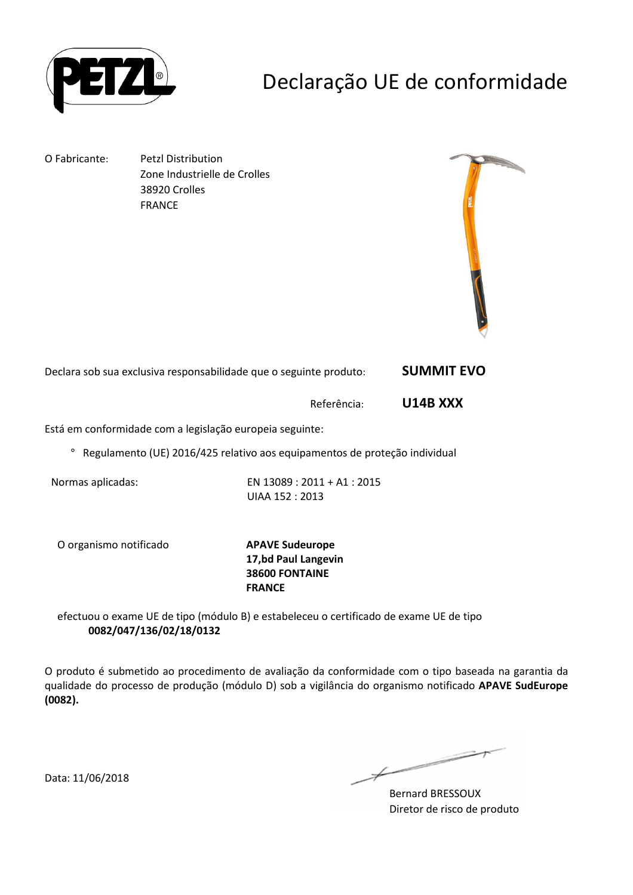

## Declaração UE de conformidade

O Fabricante: Petzl Distribution Zone Industrielle de Crolles 38920 Crolles FRANCE



Declara sob sua exclusiva responsabilidade que o seguinte produto: **SUMMIT EVO** 

Referência: **U14B XXX** 

Está em conformidade com a legislação europeia seguinte:

° Regulamento (UE) 2016/425 relativo aos equipamentos de proteção individual

Normas aplicadas: EN 13089 : 2011 + A1 : 2015 UIAA 152 : 2013

O organismo notificado **APAVE Sudeurope**

**17,bd Paul Langevin 38600 FONTAINE FRANCE**

efectuou o exame UE de tipo (módulo B) e estabeleceu o certificado de exame UE de tipo **0082/047/136/02/18/0132**

O produto é submetido ao procedimento de avaliação da conformidade com o tipo baseada na garantia da qualidade do processo de produção (módulo D) sob a vigilância do organismo notificado **APAVE SudEurope (0082).**

 $\longleftarrow$ 

Bernard BRESSOUX Diretor de risco de produto

Data: 11/06/2018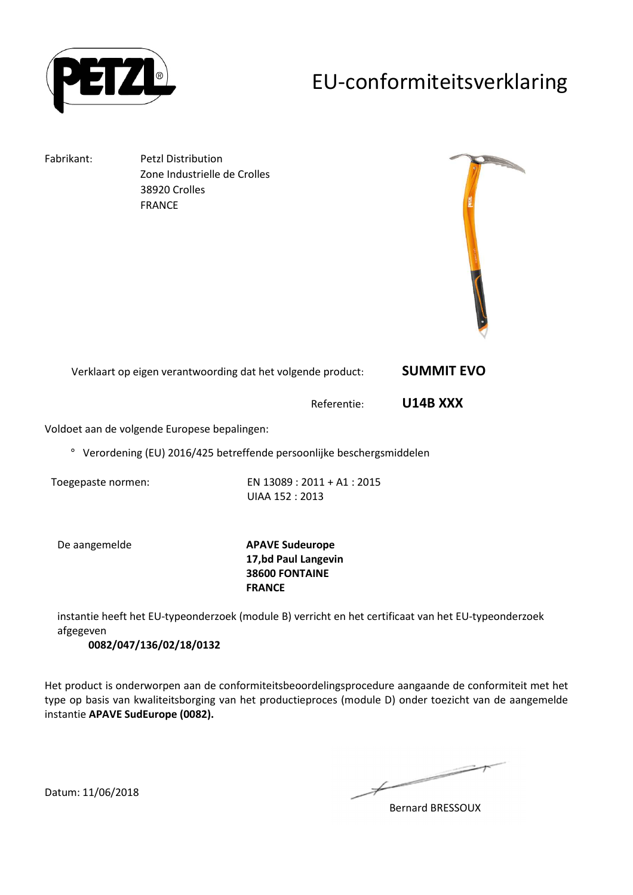

### EU-conformiteitsverklaring

Fabrikant: Petzl Distribution Zone Industrielle de Crolles 38920 Crolles FRANCE



Verklaart op eigen verantwoording dat het volgende product: **SUMMIT EVO** 

Referentie: **U14B XXX** 

Voldoet aan de volgende Europese bepalingen:

° Verordening (EU) 2016/425 betreffende persoonlijke beschergsmiddelen

Toegepaste normen: EN 13089 : 2011 + A1 : 2015 UIAA 152 : 2013

De aangemelde **APAVE Sudeurope 17,bd Paul Langevin 38600 FONTAINE FRANCE**

instantie heeft het EU-typeonderzoek (module B) verricht en het certificaat van het EU-typeonderzoek afgegeven

**0082/047/136/02/18/0132**

Het product is onderworpen aan de conformiteitsbeoordelingsprocedure aangaande de conformiteit met het type op basis van kwaliteitsborging van het productieproces (module D) onder toezicht van de aangemelde instantie **APAVE SudEurope (0082).**

Bernard BRESSOUX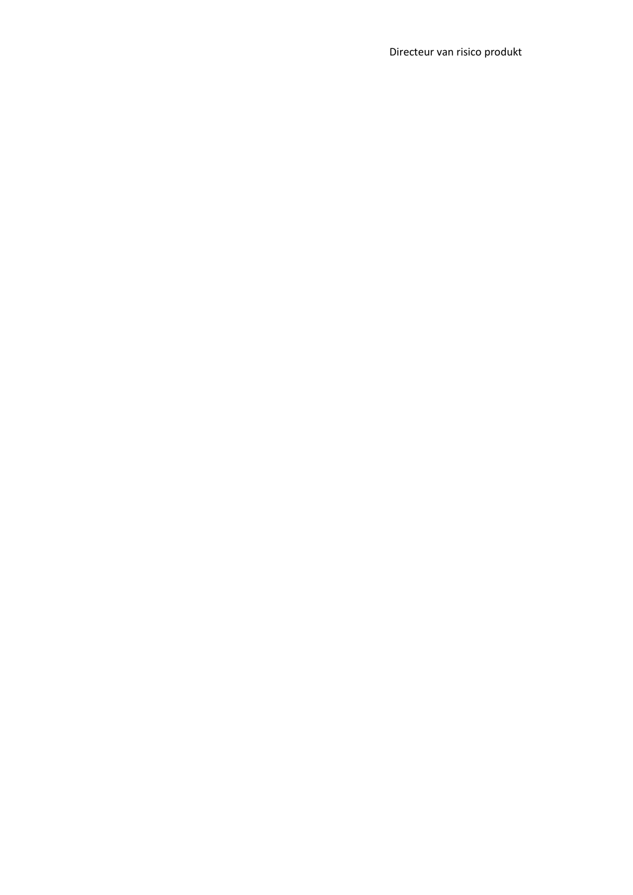Directeur van risico produkt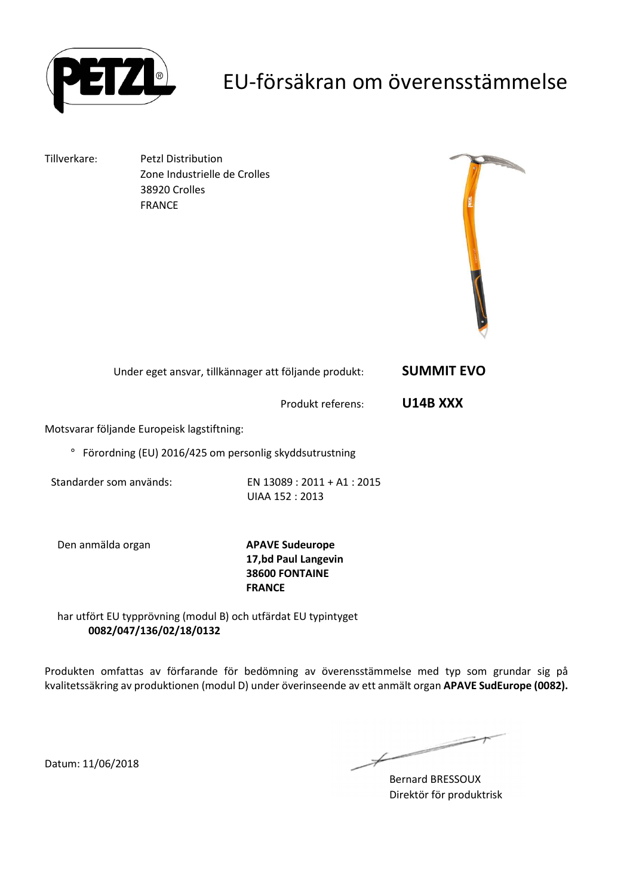

### EU-försäkran om överensstämmelse

Tillverkare: Petzl Distribution Zone Industrielle de Crolles 38920 Crolles FRANCE



| Under eget ansvar, tillkännager att följande produkt: | <b>SUMMIT EVO</b> |
|-------------------------------------------------------|-------------------|
|-------------------------------------------------------|-------------------|

Produkt referens: **U14B XXX** 

Motsvarar följande Europeisk lagstiftning:

° Förordning (EU) 2016/425 om personlig skyddsutrustning

Standarder som används: EN 13089 : 2011 + A1 : 2015 UIAA 152 : 2013

Den anmälda organ **APAVE Sudeurope**

**17,bd Paul Langevin 38600 FONTAINE FRANCE**

har utfört EU typprövning (modul B) och utfärdat EU typintyget **0082/047/136/02/18/0132**

Produkten omfattas av förfarande för bedömning av överensstämmelse med typ som grundar sig på kvalitetssäkring av produktionen (modul D) under överinseende av ett anmält organ **APAVE SudEurope (0082).**

Bernard BRESSOUX Direktör för produktrisk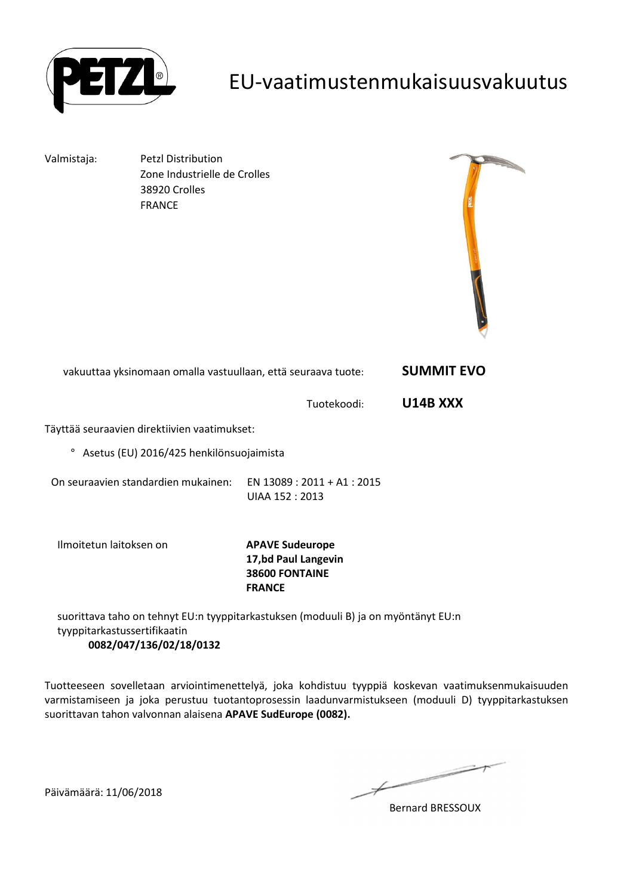

### EU-vaatimustenmukaisuusvakuutus

Valmistaja: Petzl Distribution Zone Industrielle de Crolles 38920 Crolles FRANCE



| vakuuttaa yksinomaan omalla vastuullaan, että seuraava tuote: | <b>SUMMIT EVO</b> |
|---------------------------------------------------------------|-------------------|
|---------------------------------------------------------------|-------------------|

Tuotekoodi: **U14B XXX** 

Täyttää seuraavien direktiivien vaatimukset:

° Asetus (EU) 2016/425 henkilönsuojaimista

On seuraavien standardien mukainen: EN 13089 : 2011 + A1 : 2015 UIAA 152 : 2013

Ilmoitetun laitoksen on **APAVE Sudeurope**

**17,bd Paul Langevin 38600 FONTAINE FRANCE**

suorittava taho on tehnyt EU:n tyyppitarkastuksen (moduuli B) ja on myöntänyt EU:n tyyppitarkastussertifikaatin **0082/047/136/02/18/0132**

Tuotteeseen sovelletaan arviointimenettelyä, joka kohdistuu tyyppiä koskevan vaatimuksenmukaisuuden varmistamiseen ja joka perustuu tuotantoprosessin laadunvarmistukseen (moduuli D) tyyppitarkastuksen suorittavan tahon valvonnan alaisena **APAVE SudEurope (0082).**

 $\overline{\phantom{a}}$ 

Bernard BRESSOUX

Päivämäärä: 11/06/2018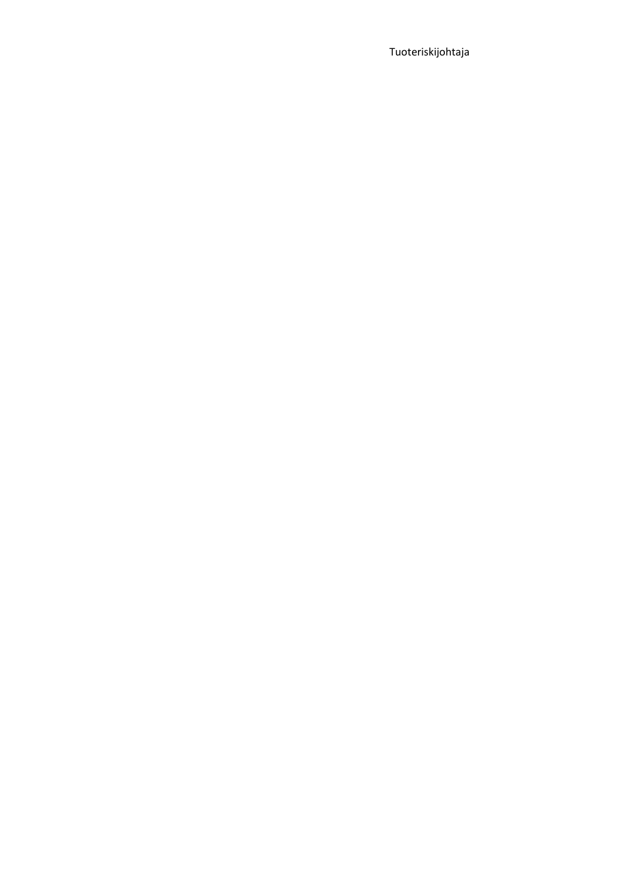Tuoteriskijohtaja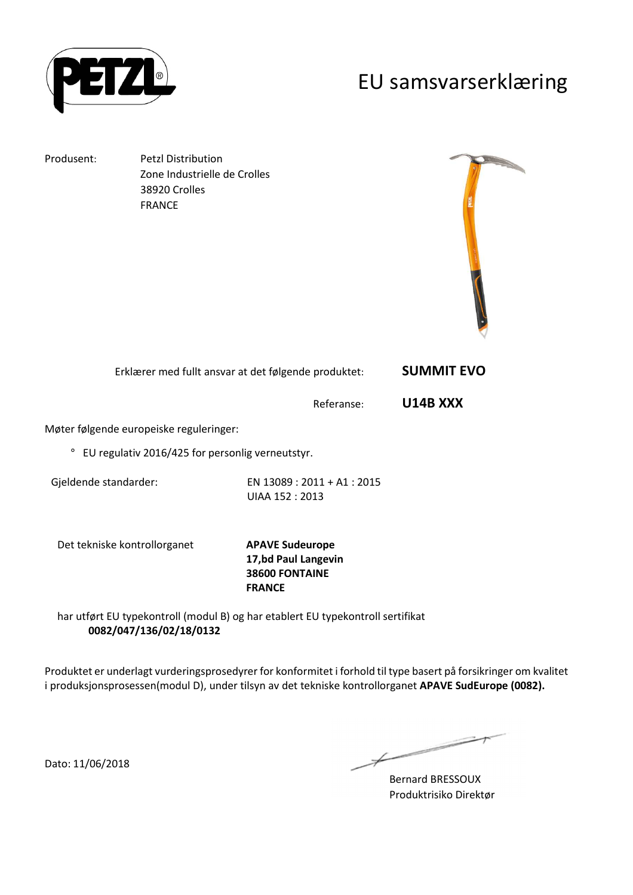

#### EU samsvarserklæring

Produsent: Petzl Distribution Zone Industrielle de Crolles 38920 Crolles FRANCE



| Erklærer med fullt ansvar at det følgende produktet: | <b>SUMMIT EVO</b> |
|------------------------------------------------------|-------------------|
|------------------------------------------------------|-------------------|

Referanse: **U14B XXX** 

Møter følgende europeiske reguleringer:

° EU regulativ 2016/425 for personlig verneutstyr.

Gjeldende standarder: EN 13089 : 2011 + A1 : 2015 UIAA 152 : 2013

Det tekniske kontrollorganet **APAVE Sudeurope**

**17,bd Paul Langevin 38600 FONTAINE FRANCE**

har utført EU typekontroll (modul B) og har etablert EU typekontroll sertifikat **0082/047/136/02/18/0132**

Produktet er underlagt vurderingsprosedyrer for konformitet i forhold til type basert på forsikringer om kvalitet i produksjonsprosessen(modul D), under tilsyn av det tekniske kontrollorganet **APAVE SudEurope (0082).**

Dato: 11/06/2018

 $\overline{\phantom{a}}$ 

Bernard BRESSOUX Produktrisiko Direktør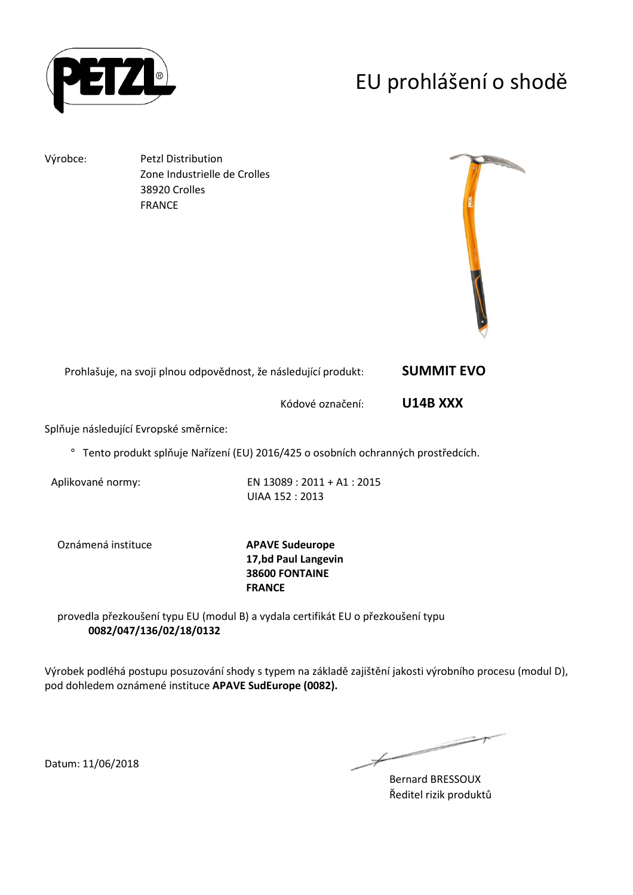

## EU prohlášení o shodě

Výrobce: Petzl Distribution Zone Industrielle de Crolles 38920 Crolles FRANCE



| Prohlašuje, na svoji plnou odpovědnost, že následující produkt: | <b>SUMMIT EVO</b> |
|-----------------------------------------------------------------|-------------------|
|-----------------------------------------------------------------|-------------------|

Kódové označení: **U14B XXX** 

Splňuje následující Evropské směrnice:

° Tento produkt splňuje Nařízení (EU) 2016/425 o osobních ochranných prostředcích.

Aplikované normy: EN 13089 : 2011 + A1 : 2015 UIAA 152 : 2013

Oznámená instituce **APAVE Sudeurope**

**17,bd Paul Langevin 38600 FONTAINE FRANCE**

provedla přezkoušení typu EU (modul B) a vydala certifikát EU o přezkoušení typu **0082/047/136/02/18/0132**

Výrobek podléhá postupu posuzování shody s typem na základě zajištění jakosti výrobního procesu (modul D), pod dohledem oznámené instituce **APAVE SudEurope (0082).**

 $\overline{\phantom{a}}$ 

Bernard BRESSOUX Ředitel rizik produktů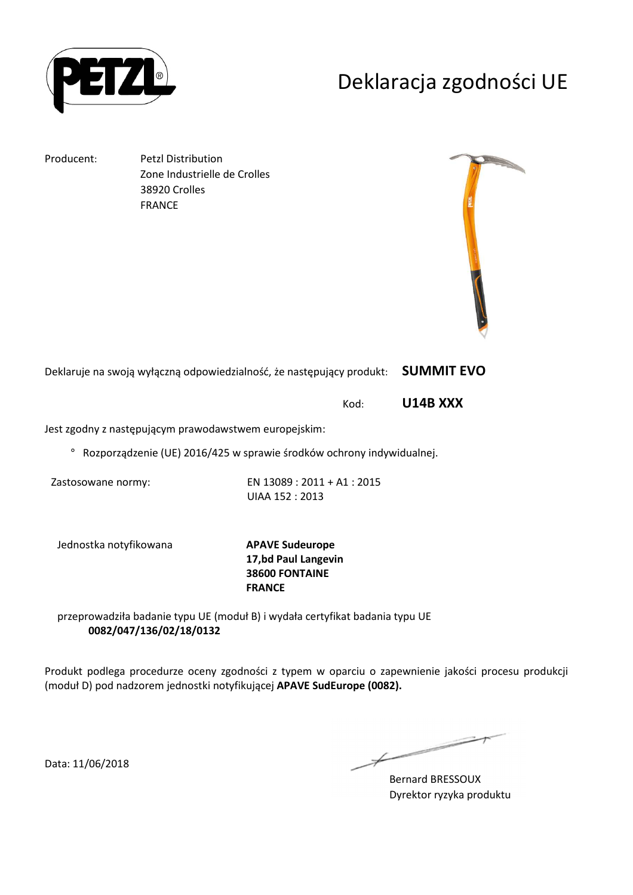

### Deklaracja zgodności UE

Producent: Petzl Distribution Zone Industrielle de Crolles 38920 Crolles FRANCE



Deklaruje na swoją wyłączną odpowiedzialność, że następujący produkt: **SUMMIT EVO** 

Kod: **U14B XXX** 

Jest zgodny z następującym prawodawstwem europejskim:

° Rozporządzenie (UE) 2016/425 w sprawie środków ochrony indywidualnej.

Zastosowane normy: EN 13089 : 2011 + A1 : 2015 UIAA 152 : 2013

Jednostka notyfikowana **APAVE Sudeurope**

**17,bd Paul Langevin 38600 FONTAINE FRANCE**

przeprowadziła badanie typu UE (moduł B) i wydała certyfikat badania typu UE **0082/047/136/02/18/0132**

Produkt podlega procedurze oceny zgodności z typem w oparciu o zapewnienie jakości procesu produkcji (moduł D) pod nadzorem jednostki notyfikującej **APAVE SudEurope (0082).**

Data: 11/06/2018

Bernard BRESSOUX Dyrektor ryzyka produktu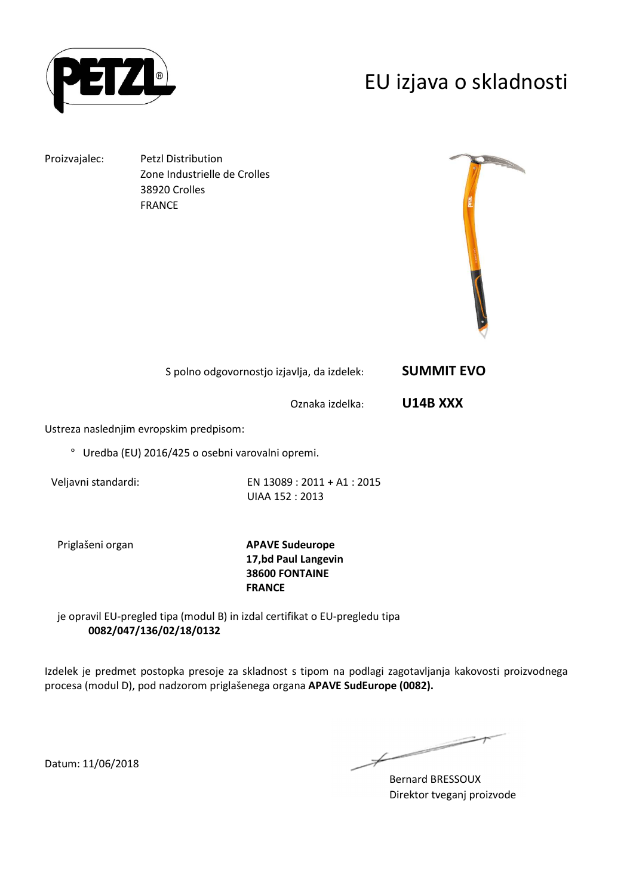

### EU izjava o skladnosti

Proizvajalec: Petzl Distribution Zone Industrielle de Crolles 38920 Crolles FRANCE



| S polno odgovornostjo izjavlja, da izdelek: | <b>SUMMIT EVO</b> |
|---------------------------------------------|-------------------|
|---------------------------------------------|-------------------|

Oznaka izdelka: **U14B XXX** 

Ustreza naslednjim evropskim predpisom:

° Uredba (EU) 2016/425 o osebni varovalni opremi.

Veljavni standardi: EN 13089 : 2011 + A1 : 2015 UIAA 152 : 2013

Priglašeni organ **APAVE Sudeurope 17,bd Paul Langevin 38600 FONTAINE FRANCE**

je opravil EU-pregled tipa (modul B) in izdal certifikat o EU-pregledu tipa **0082/047/136/02/18/0132**

Izdelek je predmet postopka presoje za skladnost s tipom na podlagi zagotavljanja kakovosti proizvodnega procesa (modul D), pod nadzorom priglašenega organa **APAVE SudEurope (0082).**

Bernard BRESSOUX Direktor tveganj proizvode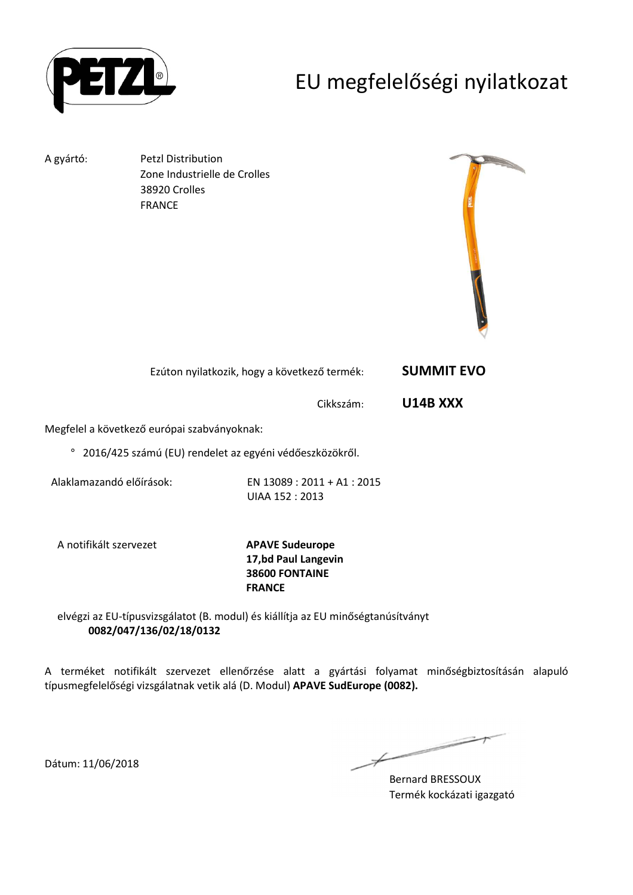

## EU megfelelőségi nyilatkozat

A gyártó: Petzl Distribution Zone Industrielle de Crolles 38920 Crolles FRANCE



| Ezúton nyilatkozik, hogy a következő termék: | <b>SUMMIT EVO</b> |
|----------------------------------------------|-------------------|
|----------------------------------------------|-------------------|

Cikkszám: **U14B XXX** 

Megfelel a következő európai szabványoknak:

° 2016/425 számú (EU) rendelet az egyéni védőeszközökről.

Alaklamazandó előírások: EN 13089 : 2011 + A1 : 2015 UIAA 152 : 2013

A notifikált szervezet **APAVE Sudeurope**

**17,bd Paul Langevin 38600 FONTAINE FRANCE**

elvégzi az EU-típusvizsgálatot (B. modul) és kiállítja az EU minőségtanúsítványt **0082/047/136/02/18/0132**

A terméket notifikált szervezet ellenőrzése alatt a gyártási folyamat minőségbiztosításán alapuló típusmegfelelőségi vizsgálatnak vetik alá (D. Modul) **APAVE SudEurope (0082).**

 $\overline{\phantom{a}}$ 

Bernard BRESSOUX Termék kockázati igazgató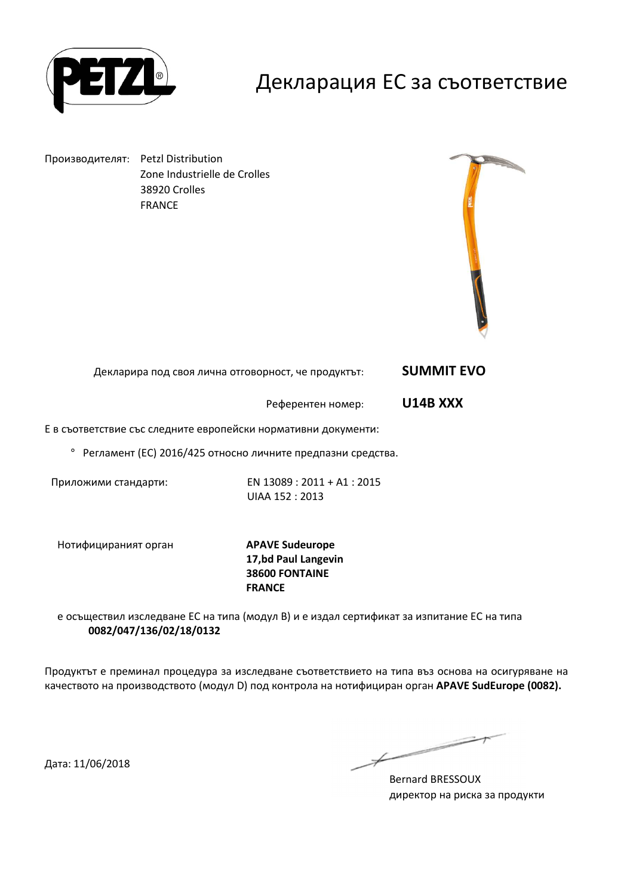

### Декларация ЕС за съответствие

Производителят: Petzl Distribution Zone Industrielle de Crolles 38920 Crolles FRANCE



Декларира под своя лична отговорност, че продуктът: **SUMMIT EVO** 

Референтен номер: **U14B XXX** 

Е в съответствие със следните европейски нормативни документи:

° Регламент (ЕС) 2016/425 относно личните предпазни средства.

Приложими стандарти: EN 13089 : 2011 + A1 : 2015 UIAA 152 : 2013

Нотифицираният орган **APAVE Sudeurope**

**17,bd Paul Langevin 38600 FONTAINE FRANCE**

е осъществил изследване ЕС на типа (модул В) и е издал сертификат за изпитание ЕС на типа **0082/047/136/02/18/0132**

Продуктът е преминал процедура за изследване съответствието на типа въз основа на осигуряване на качеството на производството (модул D) под контрола на нотифициран орган **APAVE SudEurope (0082).**

Bernard BRESSOUX директор на риска за продукти

Дата: 11/06/2018